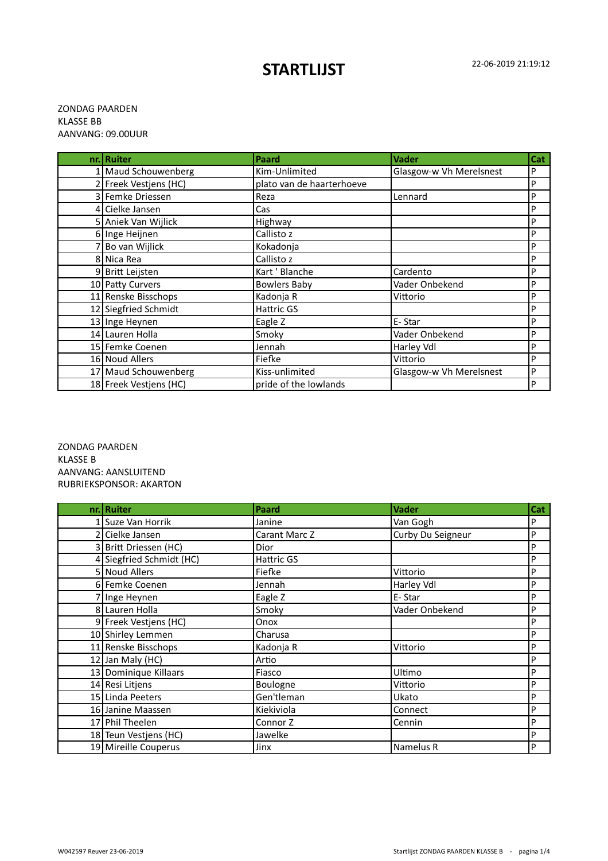## 22-06-2019 21:19:12 **STARTLIJST**

## ZONDAG PAARDEN KLASSE BB AANVANG: 09.00UUR

| nr.   Ruiter           | Paard                     | <b>Vader</b>            | Cat |
|------------------------|---------------------------|-------------------------|-----|
| 1 Maud Schouwenberg    | Kim-Unlimited             | Glasgow-w Vh Merelsnest | P   |
| 2 Freek Vestjens (HC)  | plato van de haarterhoeve |                         | P   |
| 3 Femke Driessen       | Reza                      | Lennard                 | P   |
| 4 Cielke Jansen        | Cas                       |                         | P   |
| 5 Aniek Van Wijlick    | Highway                   |                         | P   |
| 6 Inge Heijnen         | Callisto z                |                         | P   |
| 7 Bo van Wijlick       | Kokadonja                 |                         | P   |
| 8 Nica Rea             | Callisto z                |                         | P   |
| 9 Britt Leijsten       | Kart ' Blanche            | Cardento                | P   |
| 10 Patty Curvers       | <b>Bowlers Baby</b>       | Vader Onbekend          | P   |
| 11 Renske Bisschops    | Kadonja R                 | Vittorio                | P   |
| 12 Siegfried Schmidt   | Hattric GS                |                         | P   |
| 13 Inge Heynen         | Eagle Z                   | E-Star                  | P   |
| 14 Lauren Holla        | Smoky                     | Vader Onbekend          | P   |
| 15 Femke Coenen        | Jennah                    | Harley Vdl              | P   |
| 16 Noud Allers         | Fiefke                    | Vittorio                | P   |
| 17 Maud Schouwenberg   | Kiss-unlimited            | Glasgow-w Vh Merelsnest | P   |
| 18 Freek Vestjens (HC) | pride of the lowlands     |                         | P   |

ZONDAG PAARDEN KLASSE B AANVANG: AANSLUITEND RUBRIEKSPONSOR: AKARTON

| nr. Ruiter               | Paard             | <b>Vader</b>      | Cat          |
|--------------------------|-------------------|-------------------|--------------|
| 1 Suze Van Horrik        | Janine            | Van Gogh          | P            |
| 2 Cielke Jansen          | Carant Marc Z     | Curby Du Seigneur | P            |
| 3 Britt Driessen (HC)    | Dior              |                   | P            |
| 4 Siegfried Schmidt (HC) | <b>Hattric GS</b> |                   | P            |
| 5 Noud Allers            | Fiefke            | Vittorio          | P            |
| 6 Femke Coenen           | Jennah            | Harley Vdl        | P            |
| 7 Inge Heynen            | Eagle Z           | E-Star            | P            |
| 8 Lauren Holla           | Smoky             | Vader Onbekend    | $\mathsf{P}$ |
| 9 Freek Vestjens (HC)    | Onox              |                   | P            |
| 10 Shirley Lemmen        | Charusa           |                   | P            |
| 11 Renske Bisschops      | Kadonja R         | Vittorio          | P            |
| 12 Jan Maly (HC)         | Artio             |                   | P            |
| 13 Dominique Killaars    | Fiasco            | Ultimo            | P            |
| 14 Resi Litjens          | Boulogne          | Vittorio          | P            |
| 15 Linda Peeters         | Gen'tleman        | Ukato             | P            |
| 16 Janine Maassen        | Kiekiviola        | Connect           | P            |
| 17 Phil Theelen          | Connor Z          | Cennin            | P            |
| 18 Teun Vestjens (HC)    | Jawelke           |                   | P            |
| 19 Mireille Couperus     | Jinx              | Namelus R         | P            |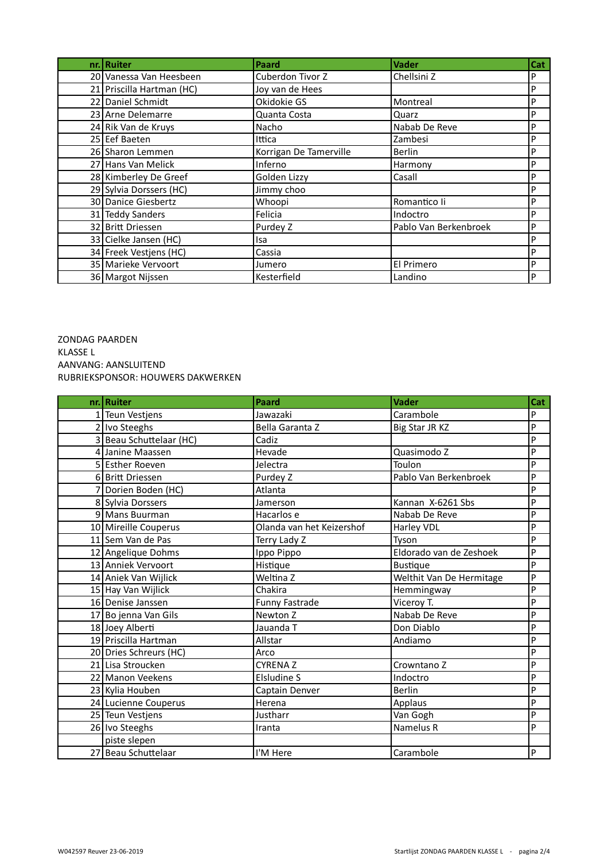| nr. Ruiter                | Paard                  | <b>Vader</b>          | Cat |
|---------------------------|------------------------|-----------------------|-----|
| 20 Vanessa Van Heesbeen   | Cuberdon Tivor Z       | Chellsini Z           | P   |
| 21 Priscilla Hartman (HC) | Joy van de Hees        |                       | P   |
| 22 Daniel Schmidt         | Okidokie GS            | Montreal              | P   |
| 23 Arne Delemarre         | Quanta Costa           | Quarz                 | P   |
| 24 Rik Van de Kruys       | Nacho                  | Nabab De Reve         | P   |
| 25 Eef Baeten             | Ittica                 | Zambesi               | P   |
| 26 Sharon Lemmen          | Korrigan De Tamerville | <b>Berlin</b>         | P   |
| 27 Hans Van Melick        | Inferno                | Harmony               | P   |
| 28 Kimberley De Greef     | Golden Lizzy           | Casall                | P   |
| 29 Sylvia Dorssers (HC)   | Jimmy choo             |                       | P   |
| 30 Danice Giesbertz       | Whoopi                 | Romantico li          | P   |
| 31 Teddy Sanders          | Felicia                | Indoctro              | P   |
| 32 Britt Driessen         | Purdey Z               | Pablo Van Berkenbroek | P   |
| 33 Cielke Jansen (HC)     | Isa                    |                       | P   |
| 34 Freek Vestjens (HC)    | Cassia                 |                       | P   |
| 35 Marieke Vervoort       | Jumero                 | El Primero            | P   |
| 36 Margot Nijssen         | Kesterfield            | Landino               | P   |

ZONDAG PAARDEN KLASSE L AANVANG: AANSLUITEND RUBRIEKSPONSOR: HOUWERS DAKWERKEN

| nr. Ruiter              | <b>Paard</b>              | <b>Vader</b>             | Cat - |
|-------------------------|---------------------------|--------------------------|-------|
| 1 Teun Vestjens         | Jawazaki                  | Carambole                | P     |
| 2 Ivo Steeghs           | Bella Garanta Z           | Big Star JR KZ           | P     |
| 3 Beau Schuttelaar (HC) | Cadiz                     |                          | P     |
| 4 Janine Maassen        | Hevade                    | Quasimodo Z              | P     |
| 5 Esther Roeven         | Jelectra                  | Toulon                   | P     |
| 6 Britt Driessen        | Purdey Z                  | Pablo Van Berkenbroek    | P     |
| 7 Dorien Boden (HC)     | Atlanta                   |                          | P     |
| 8 Sylvia Dorssers       | Jamerson                  | Kannan X-6261 Sbs        | P     |
| 9 Mans Buurman          | Hacarlos e                | Nabab De Reve            | P     |
| 10 Mireille Couperus    | Olanda van het Keizershof | Harley VDL               | P     |
| 11 Sem Van de Pas       | Terry Lady Z              | Tyson                    | P     |
| 12 Angelique Dohms      | Ippo Pippo                | Eldorado van de Zeshoek  | P     |
| 13 Anniek Vervoort      | Histique                  | <b>Bustique</b>          | P     |
| 14 Aniek Van Wijlick    | Weltina Z                 | Welthit Van De Hermitage | P     |
| 15 Hay Van Wijlick      | Chakira                   | Hemmingway               | P     |
| 16 Denise Janssen       | Funny Fastrade            | Viceroy T.               | P     |
| 17 Bo jenna Van Gils    | Newton Z                  | Nabab De Reve            | P     |
| 18 Joey Alberti         | Jauanda T                 | Don Diablo               | P     |
| 19 Priscilla Hartman    | Allstar                   | Andiamo                  | P     |
| 20 Dries Schreurs (HC)  | Arco                      |                          | P     |
| 21 Lisa Stroucken       | <b>CYRENAZ</b>            | Crowntano Z              | P     |
| 22 Manon Veekens        | Elsludine S               | Indoctro                 | P     |
| 23 Kylia Houben         | Captain Denver            | <b>Berlin</b>            | P     |
| 24 Lucienne Couperus    | Herena                    | Applaus                  | P     |
| 25 Teun Vestjens        | Justharr                  | Van Gogh                 | P     |
| 26 Ivo Steeghs          | Iranta                    | Namelus R                | P     |
| piste slepen            |                           |                          |       |
| 27 Beau Schuttelaar     | I'M Here                  | Carambole                | P     |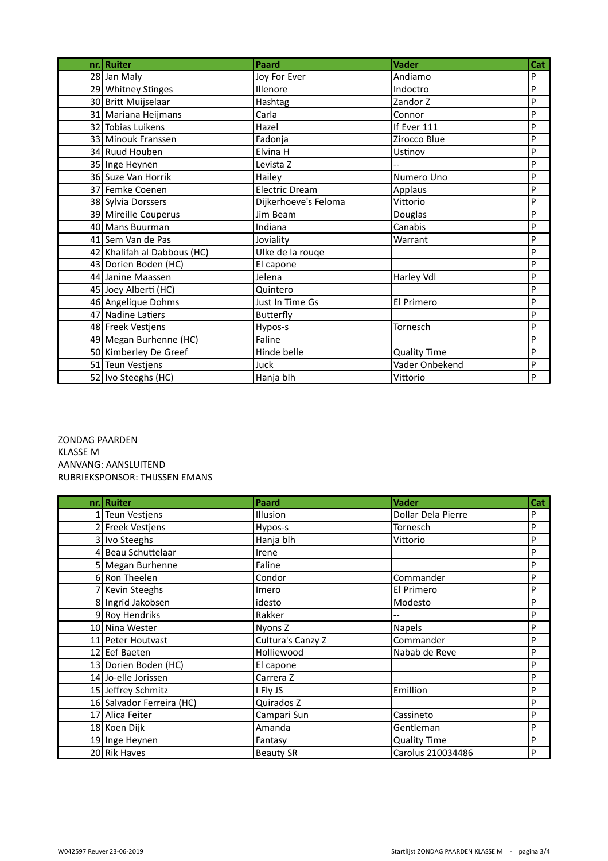| nr. Ruiter                  | <b>Paard</b>          | <b>Vader</b>        | Cat |
|-----------------------------|-----------------------|---------------------|-----|
| 28 Jan Maly                 | Joy For Ever          | Andiamo             | P   |
| 29 Whitney Stinges          | Illenore              | Indoctro            | P   |
| 30 Britt Muijselaar         | Hashtag               | Zandor Z            | P   |
| 31 Mariana Heijmans         | Carla                 | Connor              | P   |
| 32 Tobias Luikens           | Hazel                 | If Ever 111         | P   |
| 33 Minouk Franssen          | Fadonja               | Zirocco Blue        | P   |
| 34 Ruud Houben              | Elvina H              | Ustinov             | P   |
| 35 Inge Heynen              | Levista Z             |                     | P   |
| 36 Suze Van Horrik          | Hailey                | Numero Uno          | P   |
| 37 Femke Coenen             | <b>Electric Dream</b> | Applaus             | P   |
| 38 Sylvia Dorssers          | Dijkerhoeve's Feloma  | Vittorio            | P   |
| 39 Mireille Couperus        | Jim Beam              | Douglas             | P   |
| 40 Mans Buurman             | Indiana               | Canabis             | P   |
| 41 Sem Van de Pas           | Joviality             | Warrant             | P   |
| 42 Khalifah al Dabbous (HC) | Ulke de la rouge      |                     | P   |
| 43 Dorien Boden (HC)        | El capone             |                     | P   |
| 44 Janine Maassen           | Jelena                | Harley Vdl          | P   |
| 45 Joey Alberti (HC)        | Quintero              |                     | P   |
| 46 Angelique Dohms          | Just In Time Gs       | El Primero          | P   |
| 47 Nadine Latiers           | <b>Butterfly</b>      |                     | P   |
| 48 Freek Vestjens           | Hypos-s               | Tornesch            | P   |
| 49 Megan Burhenne (HC)      | Faline                |                     | P   |
| 50 Kimberley De Greef       | Hinde belle           | <b>Quality Time</b> | P   |
| 51 Teun Vestjens            | Juck                  | Vader Onbekend      | P   |
| 52 Ivo Steeghs (HC)         | Hanja blh             | Vittorio            | P   |

ZONDAG PAARDEN KLASSE M AANVANG: AANSLUITEND RUBRIEKSPONSOR: THIJSSEN EMANS

| nr. Ruiter                | <b>Paard</b>      | <b>Vader</b>        | Cat |
|---------------------------|-------------------|---------------------|-----|
| 1 Teun Vestjens           | Illusion          | Dollar Dela Pierre  | P   |
| 2 Freek Vestjens          | Hypos-s           | Tornesch            | P   |
| 3 Ivo Steeghs             | Hanja blh         | Vittorio            | P   |
| 4 Beau Schuttelaar        | Irene             |                     | P   |
| 5 Megan Burhenne          | Faline            |                     | P   |
| 6 Ron Theelen             | Condor            | Commander           | P   |
| 7 Kevin Steeghs           | Imero             | El Primero          | P   |
| 8 Ingrid Jakobsen         | idesto            | Modesto             | P   |
| 9 Roy Hendriks            | Rakker            |                     | P   |
| 10 Nina Wester            | Nyons Z           | <b>Napels</b>       | P   |
| 11 Peter Houtvast         | Cultura's Canzy Z | Commander           | P   |
| 12 Eef Baeten             | Holliewood        | Nabab de Reve       | P   |
| 13 Dorien Boden (HC)      | El capone         |                     | P   |
| 14 Jo-elle Jorissen       | Carrera Z         |                     | P   |
| 15 Jeffrey Schmitz        | I Fly JS          | Emillion            | P   |
| 16 Salvador Ferreira (HC) | Quirados Z        |                     | P   |
| 17 Alica Feiter           | Campari Sun       | Cassineto           | P   |
| 18 Koen Dijk              | Amanda            | Gentleman           | P   |
| 19 Inge Heynen            | Fantasy           | <b>Quality Time</b> | P   |
| 20 Rik Haves              | <b>Beauty SR</b>  | Carolus 210034486   | P   |